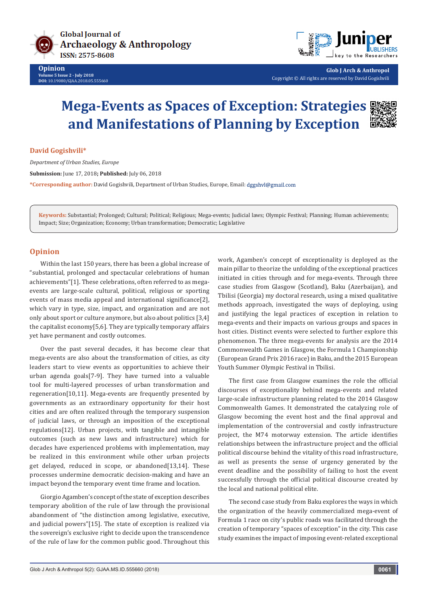



**Glob J Arch & Anthropol** Copyright © All rights are reserved by David Gogishvili

## **Mega-Events as Spaces of Exception: Strategies and Manifestations of Planning by Exception**

**David Gogishvili\***

*Department of Urban Studies, Europe*

**Submission:** June 17, 2018**; Published:** July 06, 2018

**\*Corresponding author:** David Gogishvili, Department of Urban Studies, Europe, Email:

**Keywords:** Substantial; Prolonged; Cultural; Political; Religious; Mega-events; Judicial laws; Olympic Festival; Planning; Human achievements; Impact; Size; Organization; Economy; Urban transformation; Democratic; Legislative

## **Opinion**

Within the last 150 years, there has been a global increase of "substantial, prolonged and spectacular celebrations of human achievements"[1]. These celebrations, often referred to as megaevents are large-scale cultural, political, religious or sporting events of mass media appeal and international significance[2], which vary in type, size, impact, and organization and are not only about sport or culture anymore, but also about politics [3,4] the capitalist economy[5,6]. They are typically temporary affairs yet have permanent and costly outcomes.

Over the past several decades, it has become clear that mega-events are also about the transformation of cities, as city leaders start to view events as opportunities to achieve their urban agenda goals[7-9]. They have turned into a valuable tool for multi-layered processes of urban transformation and regeneration[10,11]. Mega-events are frequently presented by governments as an extraordinary opportunity for their host cities and are often realized through the temporary suspension of judicial laws, or through an imposition of the exceptional regulations[12]. Urban projects, with tangible and intangible outcomes (such as new laws and infrastructure) which for decades have experienced problems with implementation, may be realized in this environment while other urban projects get delayed, reduced in scope, or abandoned[13,14]. These processes undermine democratic decision-making and have an impact beyond the temporary event time frame and location.

Giorgio Agamben's concept of the state of exception describes temporary abolition of the rule of law through the provisional abandonment of "the distinction among legislative, executive, and judicial powers"[15]. The state of exception is realized via the sovereign's exclusive right to decide upon the transcendence of the rule of law for the common public good. Throughout this

work, Agamben's concept of exceptionality is deployed as the main pillar to theorize the unfolding of the exceptional practices initiated in cities through and for mega-events. Through three case studies from Glasgow (Scotland), Baku (Azerbaijan), and Tbilisi (Georgia) my doctoral research, using a mixed qualitative methods approach, investigated the ways of deploying, using and justifying the legal practices of exception in relation to mega-events and their impacts on various groups and spaces in host cities. Distinct events were selected to further explore this phenomenon. The three mega-events for analysis are the 2014 Commonwealth Games in Glasgow, the Formula 1 Championship (European Grand Prix 2016 race) in Baku, and the 2015 European Youth Summer Olympic Festival in Tbilisi.

The first case from Glasgow examines the role the official discourses of exceptionality behind mega-events and related large-scale infrastructure planning related to the 2014 Glasgow Commonwealth Games. It demonstrated the catalyzing role of Glasgow becoming the event host and the final approval and implementation of the controversial and costly infrastructure project, the M74 motorway extension. The article identifies relationships between the infrastructure project and the official political discourse behind the vitality of this road infrastructure, as well as presents the sense of urgency generated by the event deadline and the possibility of failing to host the event successfully through the official political discourse created by the local and national political elite.

The second case study from Baku explores the ways in which the organization of the heavily commercialized mega-event of Formula 1 race on city's public roads was facilitated through the creation of temporary "spaces of exception" in the city. This case study examines the impact of imposing event-related exceptional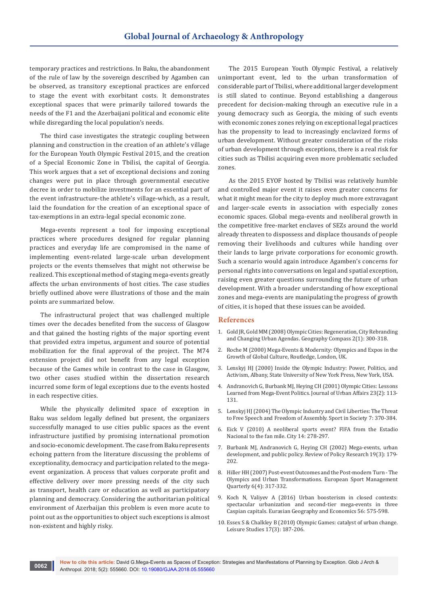temporary practices and restrictions. In Baku, the abandonment of the rule of law by the sovereign described by Agamben can be observed, as transitory exceptional practices are enforced to stage the event with exorbitant costs. It demonstrates exceptional spaces that were primarily tailored towards the needs of the F1 and the Azerbaijani political and economic elite while disregarding the local population's needs.

The third case investigates the strategic coupling between planning and construction in the creation of an athlete's village for the European Youth Olympic Festival 2015, and the creation of a Special Economic Zone in Tbilisi, the capital of Georgia. This work argues that a set of exceptional decisions and zoning changes were put in place through governmental executive decree in order to mobilize investments for an essential part of the event infrastructure-the athlete's village-which, as a result, laid the foundation for the creation of an exceptional space of tax-exemptions in an extra-legal special economic zone.

Mega-events represent a tool for imposing exceptional practices where procedures designed for regular planning practices and everyday life are compromised in the name of implementing event-related large-scale urban development projects or the events themselves that might not otherwise be realized. This exceptional method of staging mega-events greatly affects the urban environments of host cities. The case studies briefly outlined above were illustrations of those and the main points are summarized below.

The infrastructural project that was challenged multiple times over the decades benefited from the success of Glasgow and that gained the hosting rights of the major sporting event that provided extra impetus, argument and source of potential mobilization for the final approval of the project. The M74 extension project did not benefit from any legal exception because of the Games while in contrast to the case in Glasgow, two other cases studied within the dissertation research incurred some form of legal exceptions due to the events hosted in each respective cities.

While the physically delimited space of exception in Baku was seldom legally defined but present, the organizers successfully managed to use cities public spaces as the event infrastructure justified by promising international promotion and socio-economic development. The case from Baku represents echoing pattern from the literature discussing the problems of exceptionality, democracy and participation related to the megaevent organization. A process that values corporate profit and effective delivery over more pressing needs of the city such as transport, health care or education as well as participatory planning and democracy. Considering the authoritarian political environment of Azerbaijan this problem is even more acute to point out as the opportunities to object such exceptions is almost non-existent and highly risky.

The 2015 European Youth Olympic Festival, a relatively unimportant event, led to the urban transformation of considerable part of Tbilisi, where additional larger development is still slated to continue. Beyond establishing a dangerous precedent for decision-making through an executive rule in a young democracy such as Georgia, the mixing of such events with economic zones zones relying on exceptional legal practices has the propensity to lead to increasingly enclavized forms of urban development. Without greater consideration of the risks of urban development through exceptions, there is a real risk for cities such as Tbilisi acquiring even more problematic secluded zones.

As the 2015 EYOF hosted by Tbilisi was relatively humble and controlled major event it raises even greater concerns for what it might mean for the city to deploy much more extravagant and larger-scale events in association with especially zones economic spaces. Global mega-events and neoliberal growth in the competitive free-market enclaves of SEZs around the world already threaten to dispossess and displace thousands of people removing their livelihoods and cultures while handing over their lands to large private corporations for economic growth. Such a scenario would again introduce Agamben's concerns for personal rights into conversations on legal and spatial exception, raising even greater questions surrounding the future of urban development. With a broader understanding of how exceptional zones and mega-events are manipulating the progress of growth of cities, it is hoped that these issues can be avoided.

## **References**

- 1. [Gold JR, Gold MM \(2008\) Olympic Cities: Regeneration, City Rebranding](https://onlinelibrary.wiley.com/doi/abs/10.1111/j.1749-8198.2007.00080.x)  [and Changing Urban Agendas. Geography Compass 2\(1\): 300-318.](https://onlinelibrary.wiley.com/doi/abs/10.1111/j.1749-8198.2007.00080.x)
- 2. Roche M (2000) Mega-Events & Modernity: Olympics and Expos in the Growth of Global Culture, Routledge, London, UK.
- 3. Lenskyj HJ (2000) Inside the Olympic Industry: Power, Politics, and Activism, Albany, State University of New York Press, New York, USA.
- 4. [Andranovich G, Burbank MJ, Heying CH \(2001\) Olympic Cities: Lessons](https://onlinelibrary.wiley.com/doi/abs/10.1111/0735-2166.00079)  [Learned from Mega-Event Politics. Journal of Urban Affairs 23\(2\): 113-](https://onlinelibrary.wiley.com/doi/abs/10.1111/0735-2166.00079) [131.](https://onlinelibrary.wiley.com/doi/abs/10.1111/0735-2166.00079)
- 5. Lenskyj HJ (2004) The Olympic Industry and Civil Liberties: The Threat to Free Speech and Freedom of Assembly. Sport in Society 7: 370-384.
- 6. Eick V (2010) A neoliberal sports event? FIFA from the Estadio Nacional to the fan mile. City 14: 278-297.
- 7. [Burbank MJ, Andranovich G, Heying CH \(2002\) Mega-events, urban](https://onlinelibrary.wiley.com/doi/full/10.1111/j.1541-1338.2002.tb00301.x)  [development, and public policy. Review of Policy Research 19\(3\): 179-](https://onlinelibrary.wiley.com/doi/full/10.1111/j.1541-1338.2002.tb00301.x) [202.](https://onlinelibrary.wiley.com/doi/full/10.1111/j.1541-1338.2002.tb00301.x)
- 8. [Hiller HH \(2007\) Post-event Outcomes and the Post-modern Turn The](http://psycnet.apa.org/record/2007-11530-001)  [Olympics and Urban Transformations. European Sport Management](http://psycnet.apa.org/record/2007-11530-001)  [Quarterly 6\(4\): 317-332.](http://psycnet.apa.org/record/2007-11530-001)
- 9. Koch N, Valiyev A (2016) Urban boosterism in closed contexts: spectacular urbanization and second-tier mega-events in three Caspian capitals. Eurasian Geography and Economics 56: 575-598.
- 10. [Essex S & Chalkley B \(2010\) Olympic Games: catalyst of urban change.](https://eurekamag.com/research/003/218/003218901.php)  [Leisure Studies 17\(3\): 187-206.](https://eurekamag.com/research/003/218/003218901.php)